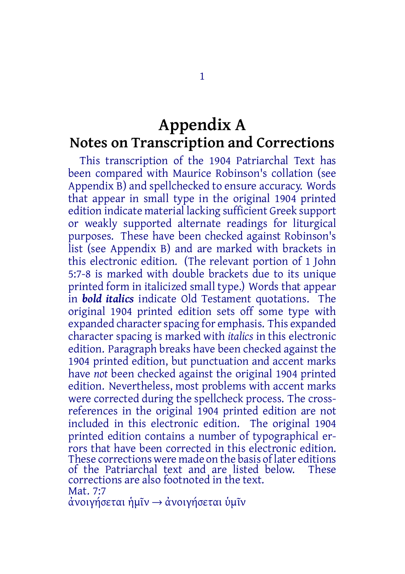## **Appendix A Notes on Transcription and Corrections**

This transcription of the 1904 Patriarchal Text has been compared with Maurice Robinson's collation (see Appendix B) and spellchecked to ensure accuracy. Words that appear in small type in the original 1904 printed edition indicate material lacking sufficient Greek support or weakly supported alternate readings for liturgical purposes. These have been checked against Robinson's list (see Appendix B) and are marked with brackets in this electronic edition. (The relevant portion of 1 John 5:7-8 is marked with double brackets due to its unique printed form in italicized small type.) Words that appear in *bold italics* indicate Old Testament quotations. The original 1904 printed edition sets off some type with expanded character spacing for emphasis. This expanded character spacing is marked with *italics* in this electronic edition. Paragraph breaks have been checked against the 1904 printed edition, but punctuation and accent marks have *not* been checked against the original 1904 printed edition. Nevertheless, most problems with accent marks were corrected during the spellcheck process. The crossreferences in the original 1904 printed edition are not included in this electronic edition. The original 1904 printed edition contains a number of typographical errors that have been corrected in this electronic edition. These corrections were made on the basis of later editions<br>of the Patriarchal text and are listed below. These of the Patriarchal text and are listed below. corrections are also footnoted in the text. Mat. 7:7

ἀνοιγήσεται ἡμῖν → ἀνοιγήσεται ὑμῖν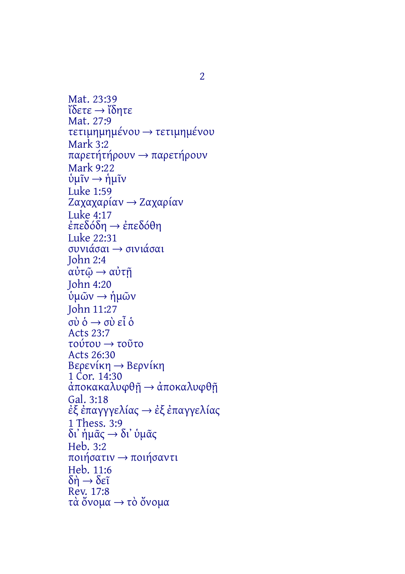Mat. 23:39 ἴδετε → ἴδητε Mat. 27:9 τετιμημημένου → τετιμημένου Mark 3:2 παρετήτήρουν → παρετήρουν Mark 9:22 ὑμῖν → ἡμῖν Luke 1:59 Ζαχαχαρίαν → Ζαχαρίαν Luke 4:17 ἐπεδόδη → ἐπεδόθη Luke 22:31 συνιάσαι → σινιάσαι John 2:4 αὐτῷ → αὐτῇ John 4:20 ὑμῶν → ἡμῶν John 11:27 σὺ ὁ → σὺ εἶ ὁ Acts 23:7 τούτου → τοῦτο Acts 26:30 Βερενίκη → Βερνίκη 1 Cor. 14:30 ἀποκακαλυφθῇ → ἀποκαλυφθῇ Gal. 3:18 ἐξ ἐπαγγγελίας → ἐξ ἐπαγγελίας 1 Thess. 3:9 δι᾽ ἡμᾶς → δι᾽ ὑμᾶς Heb. 3:2 ποιήσατιν → ποιήσαντι Heb. 11:6  $\delta \eta \rightarrow \delta \epsilon \tilde{\iota}$ Rev. 17:8 τὰ ὄνομα → τὸ ὄνομα

2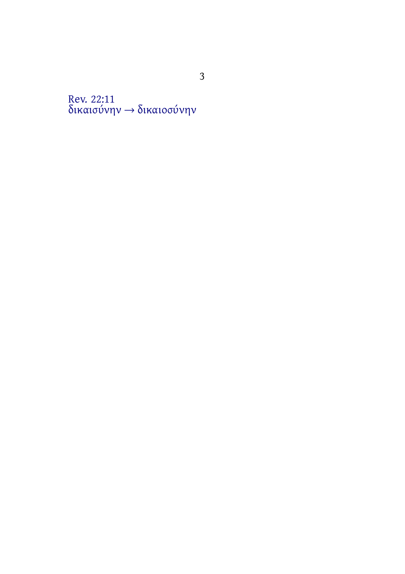Rev. 22:11 δικαισύνην → δικαιοσύνην